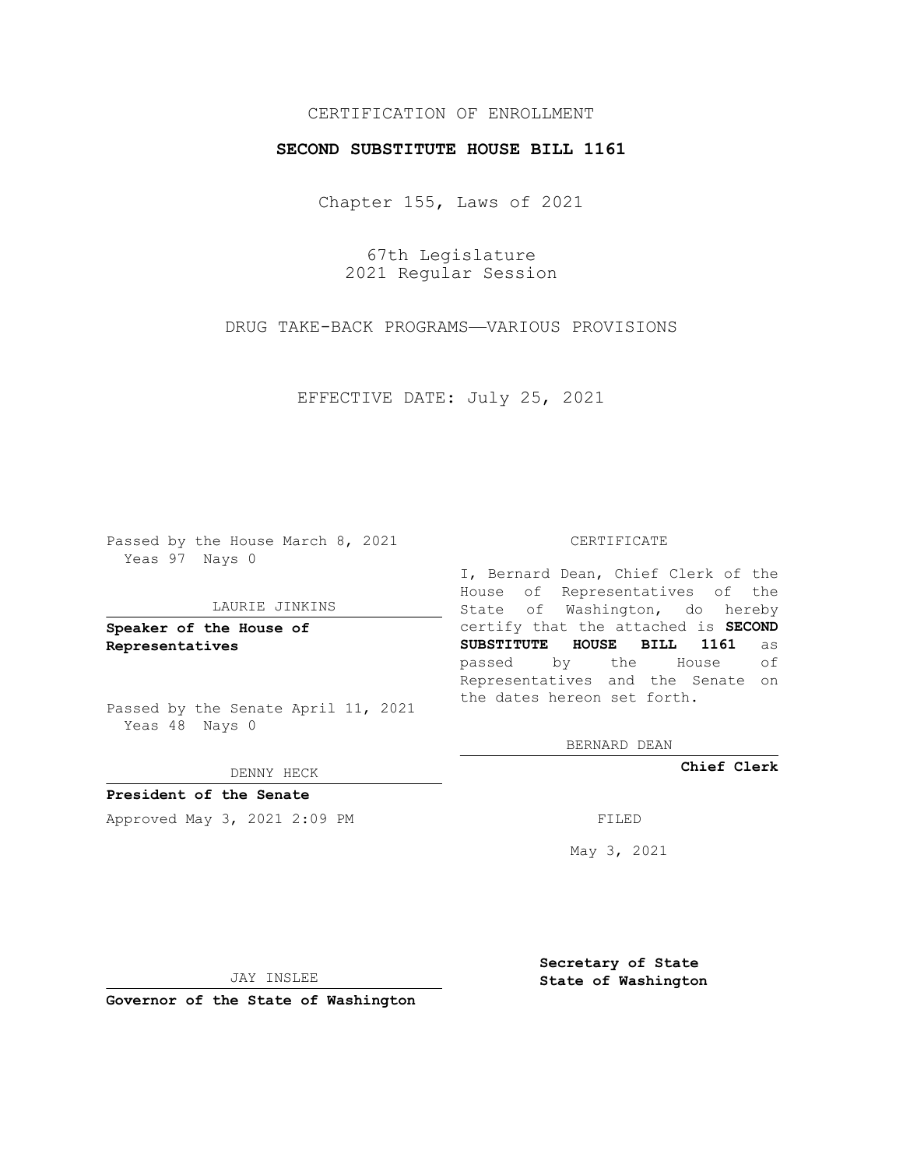## CERTIFICATION OF ENROLLMENT

## **SECOND SUBSTITUTE HOUSE BILL 1161**

Chapter 155, Laws of 2021

67th Legislature 2021 Regular Session

DRUG TAKE-BACK PROGRAMS—VARIOUS PROVISIONS

EFFECTIVE DATE: July 25, 2021

Passed by the House March 8, 2021 Yeas 97 Nays 0

## LAURIE JINKINS

**Speaker of the House of Representatives**

Passed by the Senate April 11, 2021 Yeas 48 Nays 0

DENNY HECK

**President of the Senate** Approved May 3, 2021 2:09 PM FILED

CERTIFICATE

I, Bernard Dean, Chief Clerk of the House of Representatives of the State of Washington, do hereby certify that the attached is **SECOND SUBSTITUTE HOUSE BILL 1161** as passed by the House of Representatives and the Senate on the dates hereon set forth.

BERNARD DEAN

**Chief Clerk**

May 3, 2021

JAY INSLEE

**Governor of the State of Washington**

**Secretary of State State of Washington**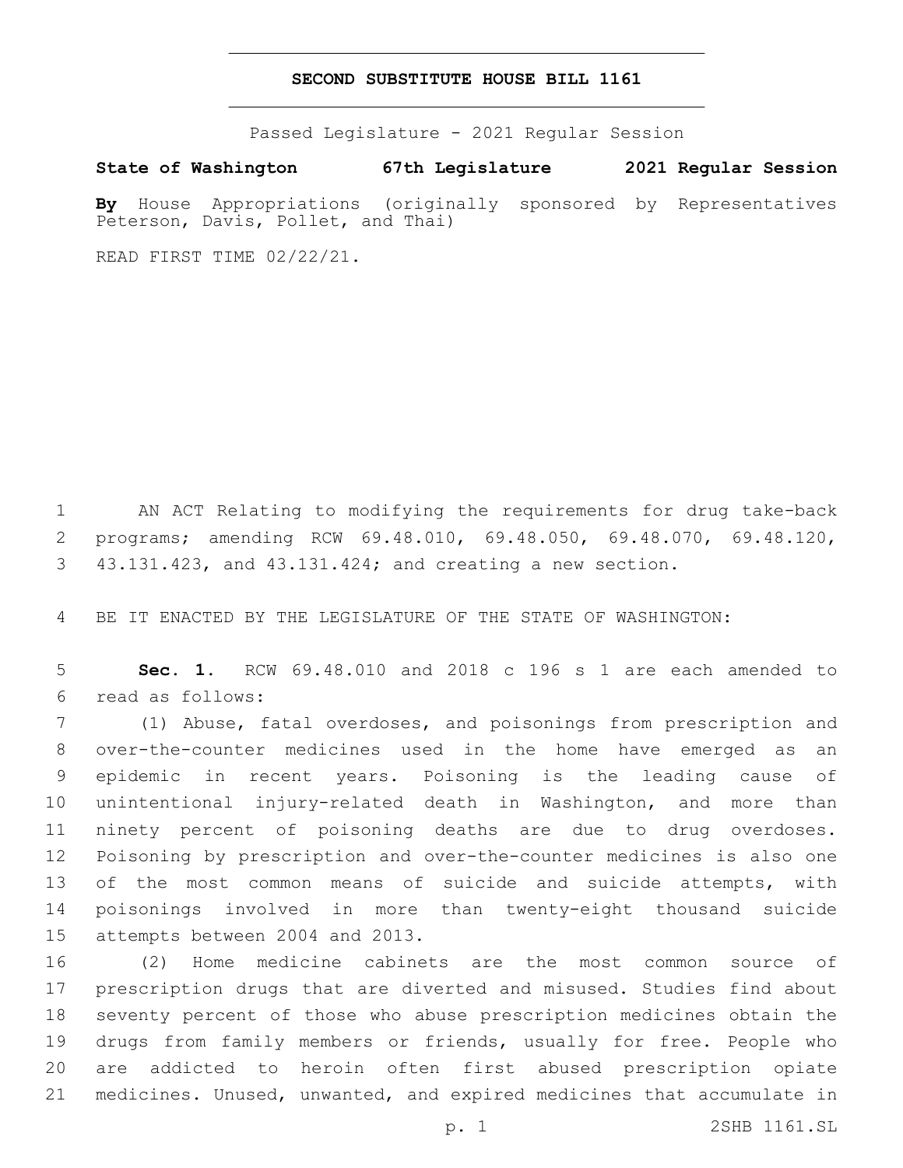## **SECOND SUBSTITUTE HOUSE BILL 1161**

Passed Legislature - 2021 Regular Session

**State of Washington 67th Legislature 2021 Regular Session By** House Appropriations (originally sponsored by Representatives

READ FIRST TIME 02/22/21.

Peterson, Davis, Pollet, and Thai)

 AN ACT Relating to modifying the requirements for drug take-back programs; amending RCW 69.48.010, 69.48.050, 69.48.070, 69.48.120, 43.131.423, and 43.131.424; and creating a new section.

BE IT ENACTED BY THE LEGISLATURE OF THE STATE OF WASHINGTON:

 **Sec. 1.** RCW 69.48.010 and 2018 c 196 s 1 are each amended to read as follows:6

 (1) Abuse, fatal overdoses, and poisonings from prescription and over-the-counter medicines used in the home have emerged as an epidemic in recent years. Poisoning is the leading cause of unintentional injury-related death in Washington, and more than ninety percent of poisoning deaths are due to drug overdoses. Poisoning by prescription and over-the-counter medicines is also one of the most common means of suicide and suicide attempts, with poisonings involved in more than twenty-eight thousand suicide 15 attempts between 2004 and 2013.

 (2) Home medicine cabinets are the most common source of prescription drugs that are diverted and misused. Studies find about seventy percent of those who abuse prescription medicines obtain the drugs from family members or friends, usually for free. People who are addicted to heroin often first abused prescription opiate medicines. Unused, unwanted, and expired medicines that accumulate in

p. 1 2SHB 1161.SL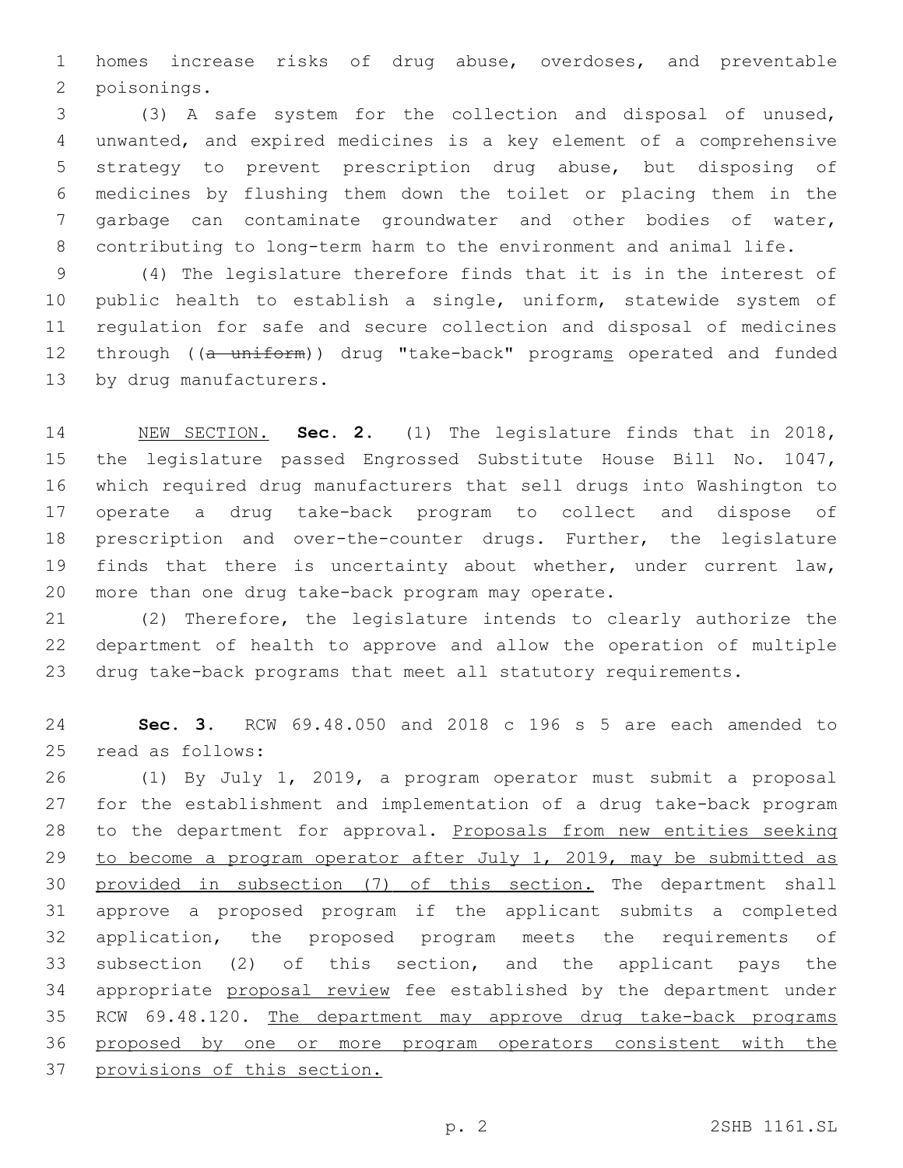homes increase risks of drug abuse, overdoses, and preventable 2 poisonings.

 (3) A safe system for the collection and disposal of unused, unwanted, and expired medicines is a key element of a comprehensive strategy to prevent prescription drug abuse, but disposing of medicines by flushing them down the toilet or placing them in the garbage can contaminate groundwater and other bodies of water, contributing to long-term harm to the environment and animal life.

 (4) The legislature therefore finds that it is in the interest of public health to establish a single, uniform, statewide system of regulation for safe and secure collection and disposal of medicines 12 through ((a uniform)) drug "take-back" programs operated and funded 13 by drug manufacturers.

 NEW SECTION. **Sec. 2.** (1) The legislature finds that in 2018, the legislature passed Engrossed Substitute House Bill No. 1047, which required drug manufacturers that sell drugs into Washington to operate a drug take-back program to collect and dispose of prescription and over-the-counter drugs. Further, the legislature finds that there is uncertainty about whether, under current law, more than one drug take-back program may operate.

 (2) Therefore, the legislature intends to clearly authorize the department of health to approve and allow the operation of multiple drug take-back programs that meet all statutory requirements.

 **Sec. 3.** RCW 69.48.050 and 2018 c 196 s 5 are each amended to 25 read as follows:

 (1) By July 1, 2019, a program operator must submit a proposal for the establishment and implementation of a drug take-back program 28 to the department for approval. Proposals from new entities seeking to become a program operator after July 1, 2019, may be submitted as provided in subsection (7) of this section. The department shall approve a proposed program if the applicant submits a completed application, the proposed program meets the requirements of subsection (2) of this section, and the applicant pays the appropriate proposal review fee established by the department under 35 RCW 69.48.120. The department may approve drug take-back programs proposed by one or more program operators consistent with the provisions of this section.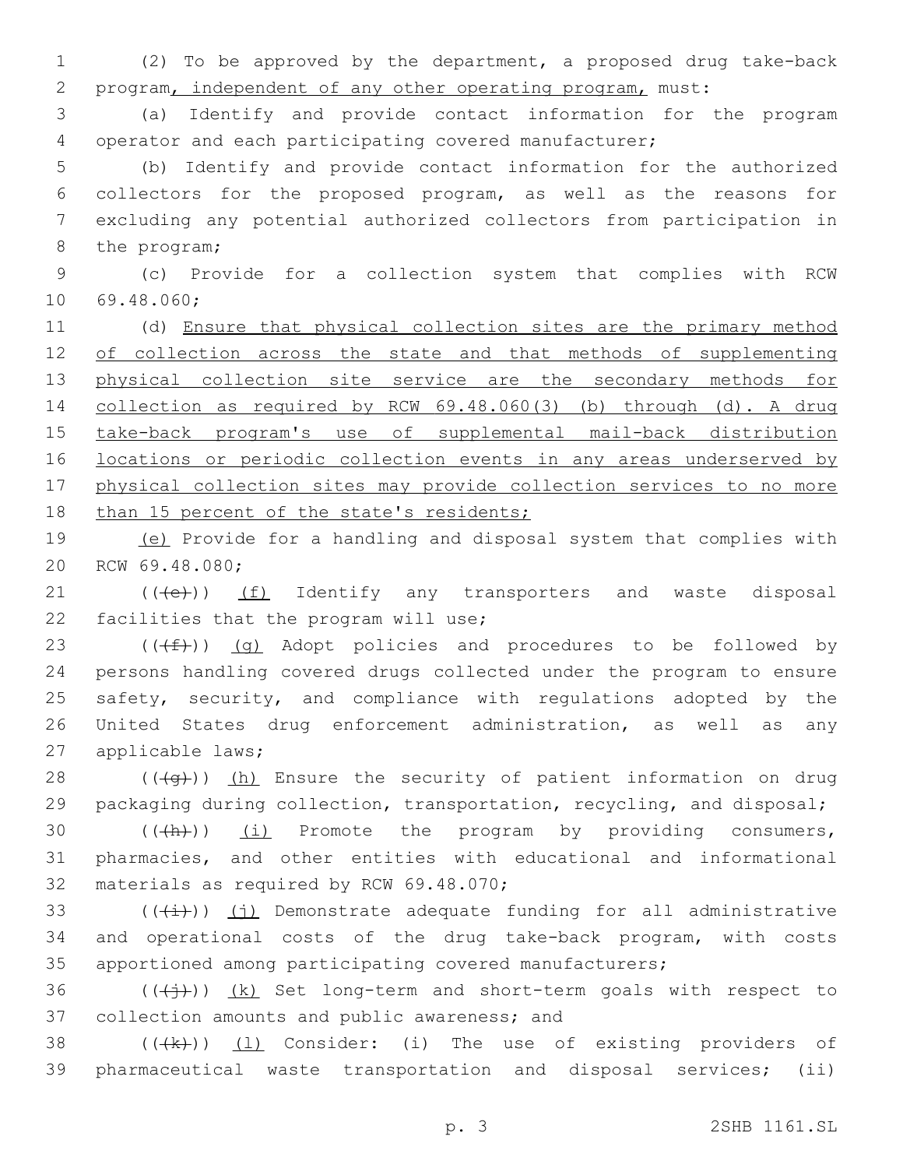1 (2) To be approved by the department, a proposed drug take-back 2 program, independent of any other operating program, must:

3 (a) Identify and provide contact information for the program 4 operator and each participating covered manufacturer;

 (b) Identify and provide contact information for the authorized collectors for the proposed program, as well as the reasons for excluding any potential authorized collectors from participation in 8 the program;

9 (c) Provide for a collection system that complies with RCW 10 69.48.060;

11 (d) Ensure that physical collection sites are the primary method 12 of collection across the state and that methods of supplementing 13 physical collection site service are the secondary methods for 14 collection as required by RCW 69.48.060(3) (b) through (d). A drug 15 take-back program's use of supplemental mail-back distribution 16 locations or periodic collection events in any areas underserved by 17 physical collection sites may provide collection services to no more 18 than 15 percent of the state's residents;

19 (e) Provide for a handling and disposal system that complies with 20 RCW 69.48.080;

21 (((e)) (f) Identify any transporters and waste disposal 22 facilities that the program will use;

23 ( $(\frac{f}{f})$ ) (g) Adopt policies and procedures to be followed by 24 persons handling covered drugs collected under the program to ensure 25 safety, security, and compliance with regulations adopted by the 26 United States drug enforcement administration, as well as any 27 applicable laws;

28  $((+q))$  (h) Ensure the security of patient information on drug 29 packaging during collection, transportation, recycling, and disposal;

30  $((+h))$   $(i)$  Promote the program by providing consumers, 31 pharmacies, and other entities with educational and informational 32 materials as required by RCW 69.48.070;

 $(33$  ( $(\frac{1}{1})$ ) (j) Demonstrate adequate funding for all administrative 34 and operational costs of the drug take-back program, with costs 35 apportioned among participating covered manufacturers;

36  $((\n $(\n $(\n $\frac{1}{2}$ \n)$ ) *(k)* Set long-term and short-term goals with respect to$$ 37 collection amounts and public awareness; and

38 (((+k)) (1) Consider: (i) The use of existing providers of 39 pharmaceutical waste transportation and disposal services; (ii)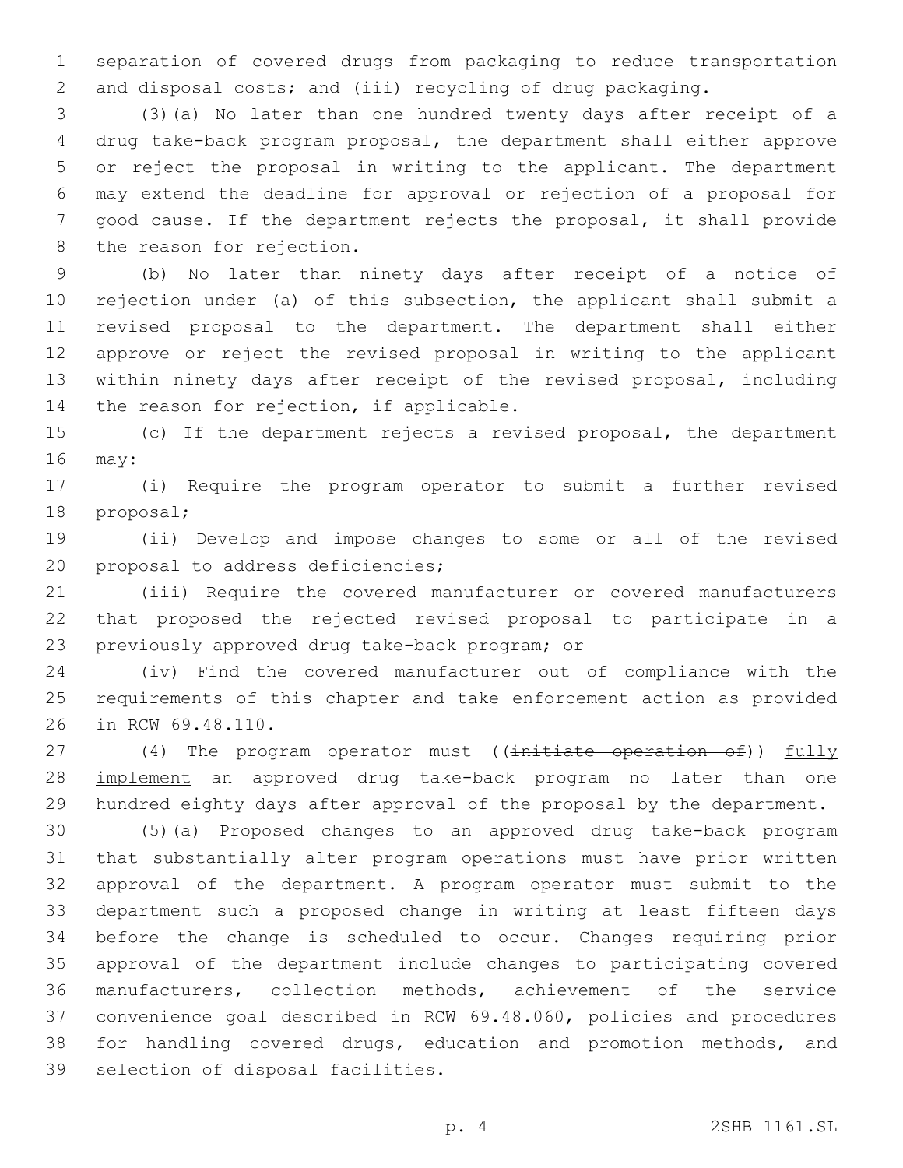separation of covered drugs from packaging to reduce transportation and disposal costs; and (iii) recycling of drug packaging.

 (3)(a) No later than one hundred twenty days after receipt of a drug take-back program proposal, the department shall either approve or reject the proposal in writing to the applicant. The department may extend the deadline for approval or rejection of a proposal for good cause. If the department rejects the proposal, it shall provide 8 the reason for rejection.

 (b) No later than ninety days after receipt of a notice of rejection under (a) of this subsection, the applicant shall submit a revised proposal to the department. The department shall either approve or reject the revised proposal in writing to the applicant within ninety days after receipt of the revised proposal, including 14 the reason for rejection, if applicable.

 (c) If the department rejects a revised proposal, the department 16 may:

 (i) Require the program operator to submit a further revised 18 proposal;

 (ii) Develop and impose changes to some or all of the revised 20 proposal to address deficiencies;

 (iii) Require the covered manufacturer or covered manufacturers that proposed the rejected revised proposal to participate in a 23 previously approved drug take-back program; or

 (iv) Find the covered manufacturer out of compliance with the requirements of this chapter and take enforcement action as provided 26 in RCW 69.48.110.

27 (4) The program operator must ((initiate operation of)) fully 28 implement an approved drug take-back program no later than one hundred eighty days after approval of the proposal by the department.

 (5)(a) Proposed changes to an approved drug take-back program that substantially alter program operations must have prior written approval of the department. A program operator must submit to the department such a proposed change in writing at least fifteen days before the change is scheduled to occur. Changes requiring prior approval of the department include changes to participating covered manufacturers, collection methods, achievement of the service convenience goal described in RCW 69.48.060, policies and procedures for handling covered drugs, education and promotion methods, and 39 selection of disposal facilities.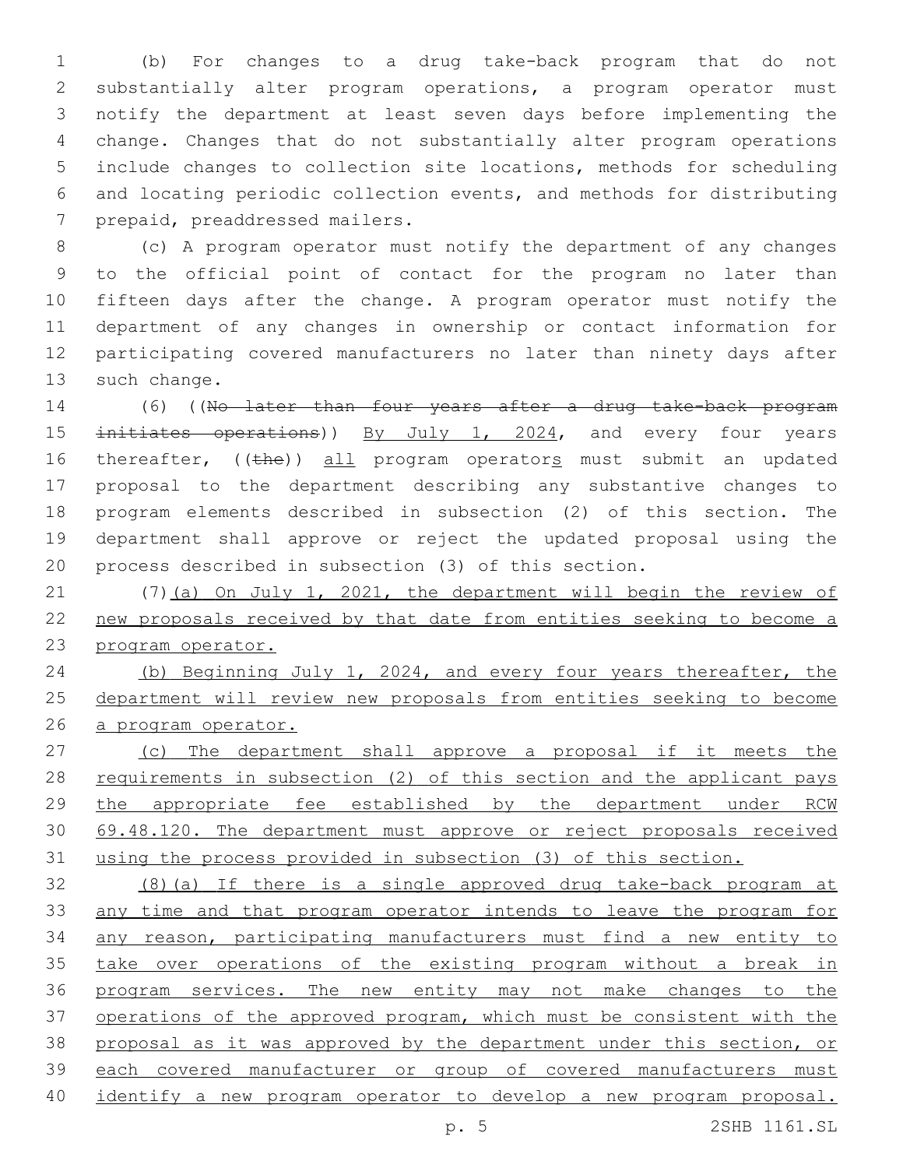(b) For changes to a drug take-back program that do not substantially alter program operations, a program operator must notify the department at least seven days before implementing the change. Changes that do not substantially alter program operations include changes to collection site locations, methods for scheduling and locating periodic collection events, and methods for distributing 7 prepaid, preaddressed mailers.

 (c) A program operator must notify the department of any changes to the official point of contact for the program no later than fifteen days after the change. A program operator must notify the department of any changes in ownership or contact information for participating covered manufacturers no later than ninety days after 13 such change.

 (6) ((No later than four years after a drug take-back program 15 initiates operations)) By July 1, 2024, and every four years 16 thereafter, ((the)) all program operators must submit an updated proposal to the department describing any substantive changes to program elements described in subsection (2) of this section. The department shall approve or reject the updated proposal using the process described in subsection (3) of this section.

 (7)(a) On July 1, 2021, the department will begin the review of new proposals received by that date from entities seeking to become a program operator.

 (b) Beginning July 1, 2024, and every four years thereafter, the department will review new proposals from entities seeking to become a program operator.

 (c) The department shall approve a proposal if it meets the 28 requirements in subsection (2) of this section and the applicant pays 29 the appropriate fee established by the department under RCW 30 69.48.120. The department must approve or reject proposals received using the process provided in subsection (3) of this section.

 (8)(a) If there is a single approved drug take-back program at any time and that program operator intends to leave the program for any reason, participating manufacturers must find a new entity to 35 take over operations of the existing program without a break in 36 program services. The new entity may not make changes to the 37 operations of the approved program, which must be consistent with the proposal as it was approved by the department under this section, or each covered manufacturer or group of covered manufacturers must identify a new program operator to develop a new program proposal.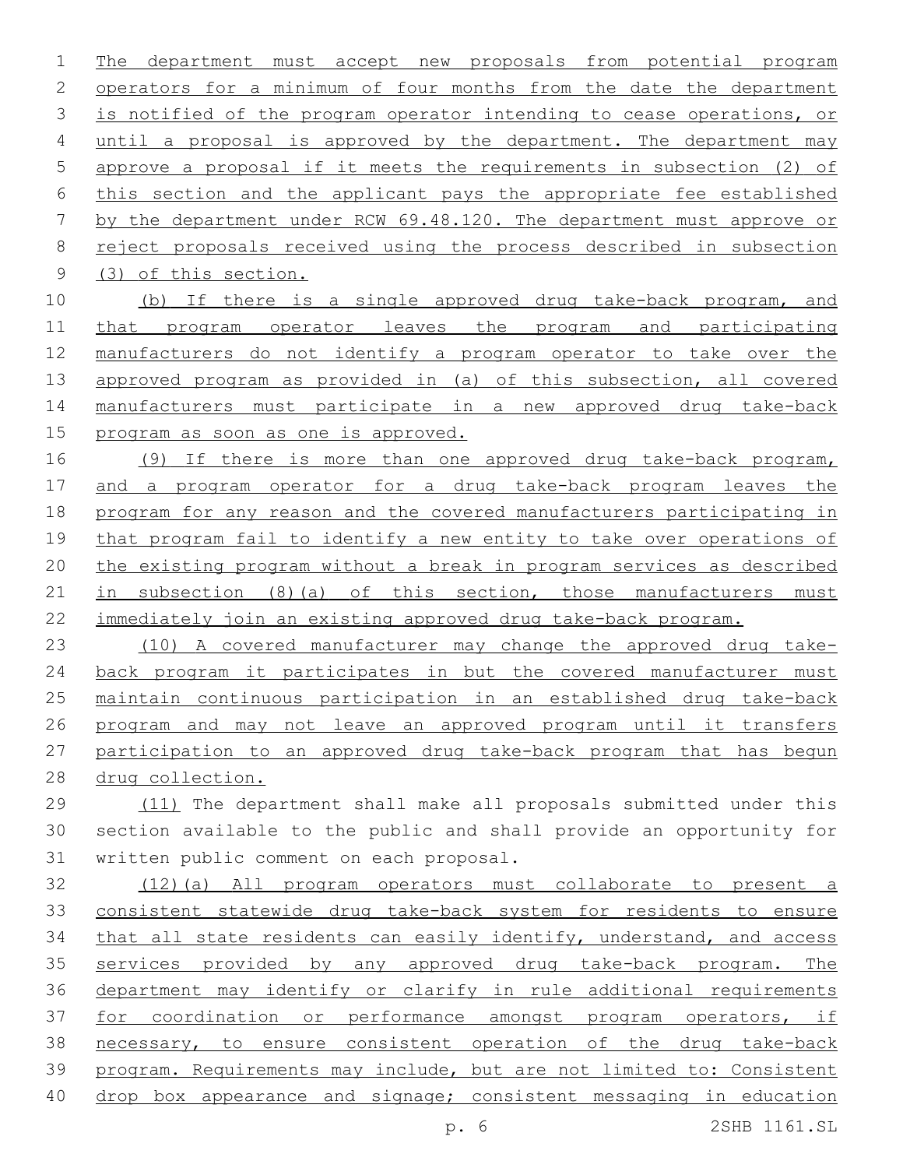The department must accept new proposals from potential program 2 operators for a minimum of four months from the date the department 3 is notified of the program operator intending to cease operations, or until a proposal is approved by the department. The department may approve a proposal if it meets the requirements in subsection (2) of this section and the applicant pays the appropriate fee established by the department under RCW 69.48.120. The department must approve or reject proposals received using the process described in subsection 9 (3) of this section.

10 (b) If there is a single approved drug take-back program, and that program operator leaves the program and participating manufacturers do not identify a program operator to take over the approved program as provided in (a) of this subsection, all covered manufacturers must participate in a new approved drug take-back 15 program as soon as one is approved.

 (9) If there is more than one approved drug take-back program, and a program operator for a drug take-back program leaves the program for any reason and the covered manufacturers participating in that program fail to identify a new entity to take over operations of the existing program without a break in program services as described 21 in subsection (8)(a) of this section, those manufacturers must immediately join an existing approved drug take-back program.

 (10) A covered manufacturer may change the approved drug take-24 back program it participates in but the covered manufacturer must maintain continuous participation in an established drug take-back program and may not leave an approved program until it transfers participation to an approved drug take-back program that has begun drug collection.

 (11) The department shall make all proposals submitted under this section available to the public and shall provide an opportunity for 31 written public comment on each proposal.

 (12)(a) All program operators must collaborate to present a consistent statewide drug take-back system for residents to ensure that all state residents can easily identify, understand, and access services provided by any approved drug take-back program. The department may identify or clarify in rule additional requirements 37 for coordination or performance amongst program operators, if necessary, to ensure consistent operation of the drug take-back program. Requirements may include, but are not limited to: Consistent drop box appearance and signage; consistent messaging in education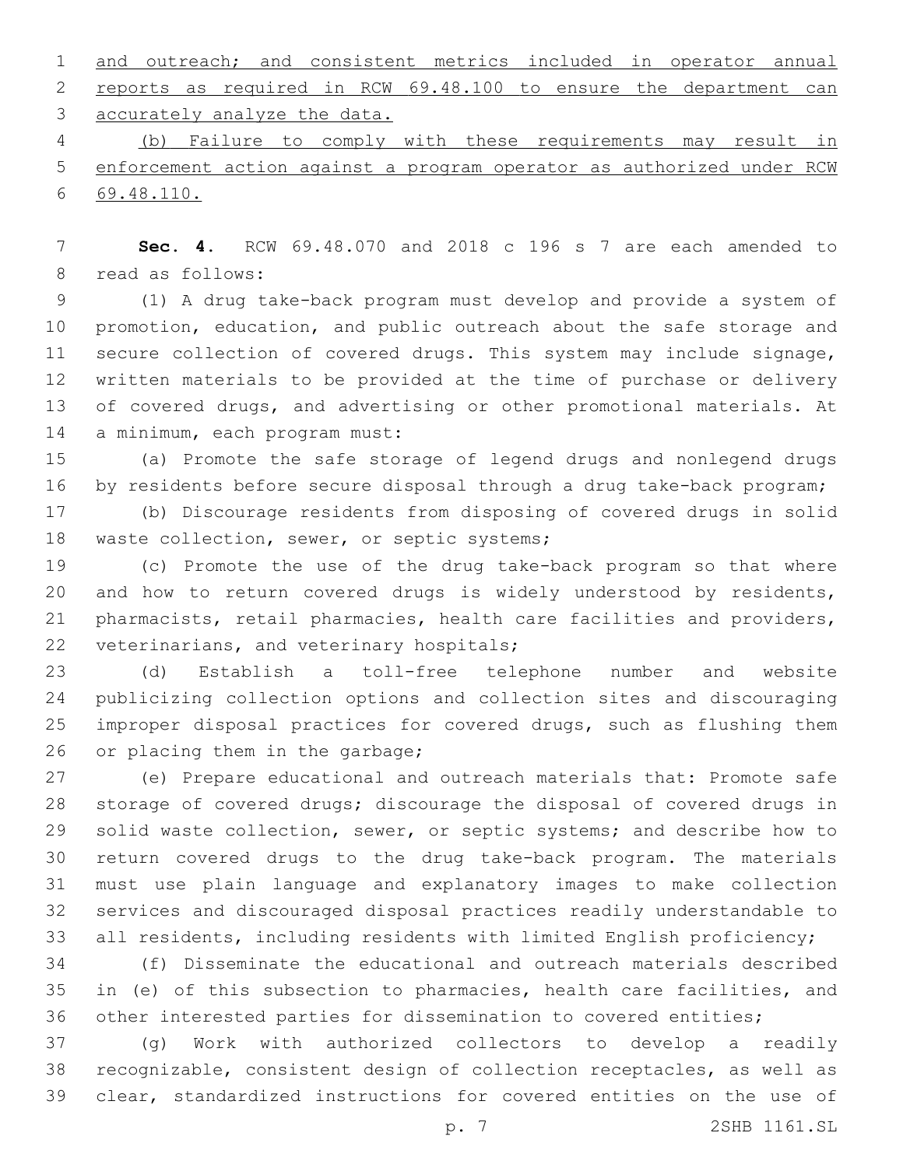and outreach; and consistent metrics included in operator annual reports as required in RCW 69.48.100 to ensure the department can 3 accurately analyze the data.

 (b) Failure to comply with these requirements may result in enforcement action against a program operator as authorized under RCW 69.48.110.

 **Sec. 4.** RCW 69.48.070 and 2018 c 196 s 7 are each amended to 8 read as follows:

 (1) A drug take-back program must develop and provide a system of promotion, education, and public outreach about the safe storage and secure collection of covered drugs. This system may include signage, written materials to be provided at the time of purchase or delivery 13 of covered drugs, and advertising or other promotional materials. At 14 a minimum, each program must:

 (a) Promote the safe storage of legend drugs and nonlegend drugs by residents before secure disposal through a drug take-back program;

 (b) Discourage residents from disposing of covered drugs in solid 18 waste collection, sewer, or septic systems;

 (c) Promote the use of the drug take-back program so that where and how to return covered drugs is widely understood by residents, pharmacists, retail pharmacies, health care facilities and providers, 22 veterinarians, and veterinary hospitals;

 (d) Establish a toll-free telephone number and website publicizing collection options and collection sites and discouraging improper disposal practices for covered drugs, such as flushing them 26 or placing them in the garbage;

 (e) Prepare educational and outreach materials that: Promote safe storage of covered drugs; discourage the disposal of covered drugs in 29 solid waste collection, sewer, or septic systems; and describe how to return covered drugs to the drug take-back program. The materials must use plain language and explanatory images to make collection services and discouraged disposal practices readily understandable to all residents, including residents with limited English proficiency;

 (f) Disseminate the educational and outreach materials described in (e) of this subsection to pharmacies, health care facilities, and other interested parties for dissemination to covered entities;

 (g) Work with authorized collectors to develop a readily recognizable, consistent design of collection receptacles, as well as clear, standardized instructions for covered entities on the use of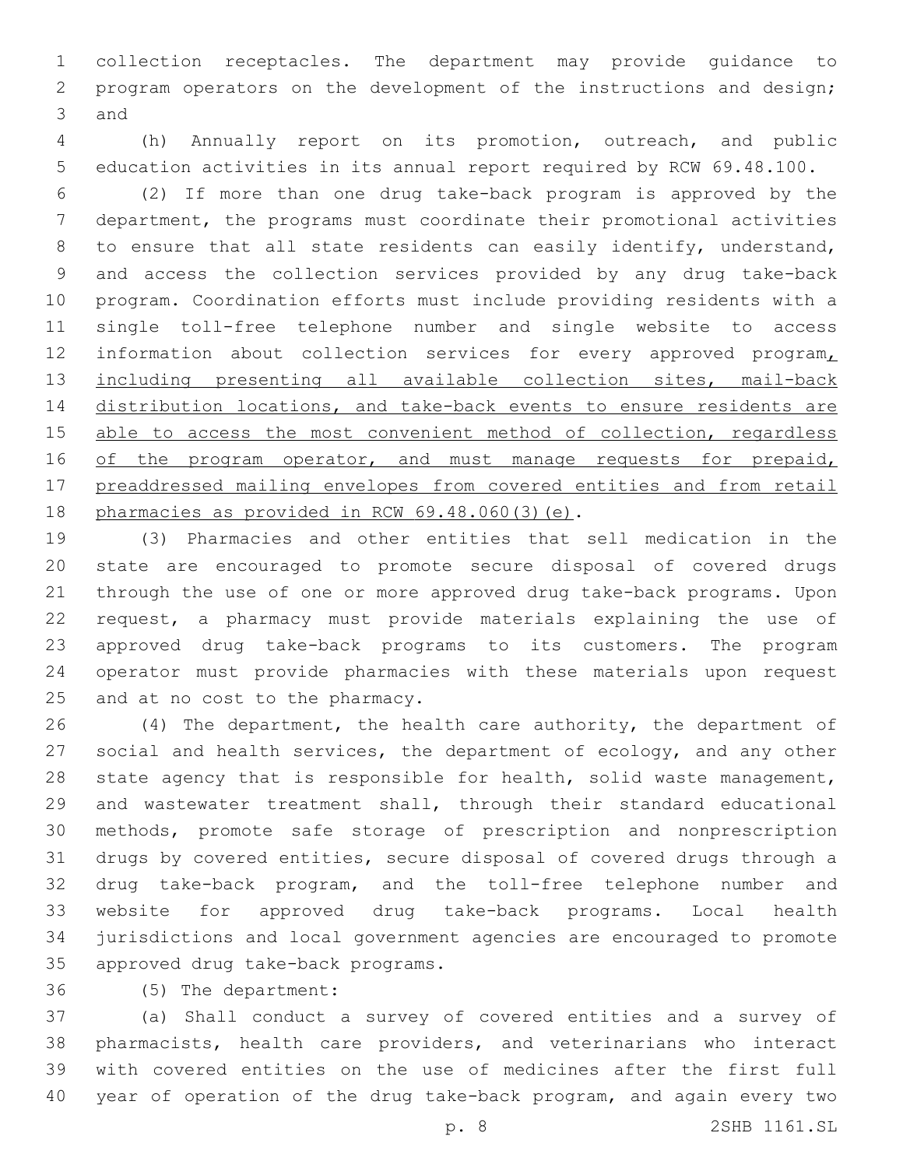collection receptacles. The department may provide guidance to program operators on the development of the instructions and design; 3 and

 (h) Annually report on its promotion, outreach, and public education activities in its annual report required by RCW 69.48.100.

 (2) If more than one drug take-back program is approved by the department, the programs must coordinate their promotional activities 8 to ensure that all state residents can easily identify, understand, and access the collection services provided by any drug take-back program. Coordination efforts must include providing residents with a single toll-free telephone number and single website to access 12 information about collection services for every approved program 13 including presenting all available collection sites, mail-back 14 distribution locations, and take-back events to ensure residents are 15 able to access the most convenient method of collection, regardless 16 of the program operator, and must manage requests for prepaid, preaddressed mailing envelopes from covered entities and from retail 18 pharmacies as provided in RCW  $69.48.060(3)(e)$ .

 (3) Pharmacies and other entities that sell medication in the state are encouraged to promote secure disposal of covered drugs through the use of one or more approved drug take-back programs. Upon request, a pharmacy must provide materials explaining the use of approved drug take-back programs to its customers. The program operator must provide pharmacies with these materials upon request 25 and at no cost to the pharmacy.

26 (4) The department, the health care authority, the department of 27 social and health services, the department of ecology, and any other state agency that is responsible for health, solid waste management, and wastewater treatment shall, through their standard educational methods, promote safe storage of prescription and nonprescription drugs by covered entities, secure disposal of covered drugs through a drug take-back program, and the toll-free telephone number and website for approved drug take-back programs. Local health jurisdictions and local government agencies are encouraged to promote 35 approved drug take-back programs.

(5) The department:36

 (a) Shall conduct a survey of covered entities and a survey of pharmacists, health care providers, and veterinarians who interact with covered entities on the use of medicines after the first full year of operation of the drug take-back program, and again every two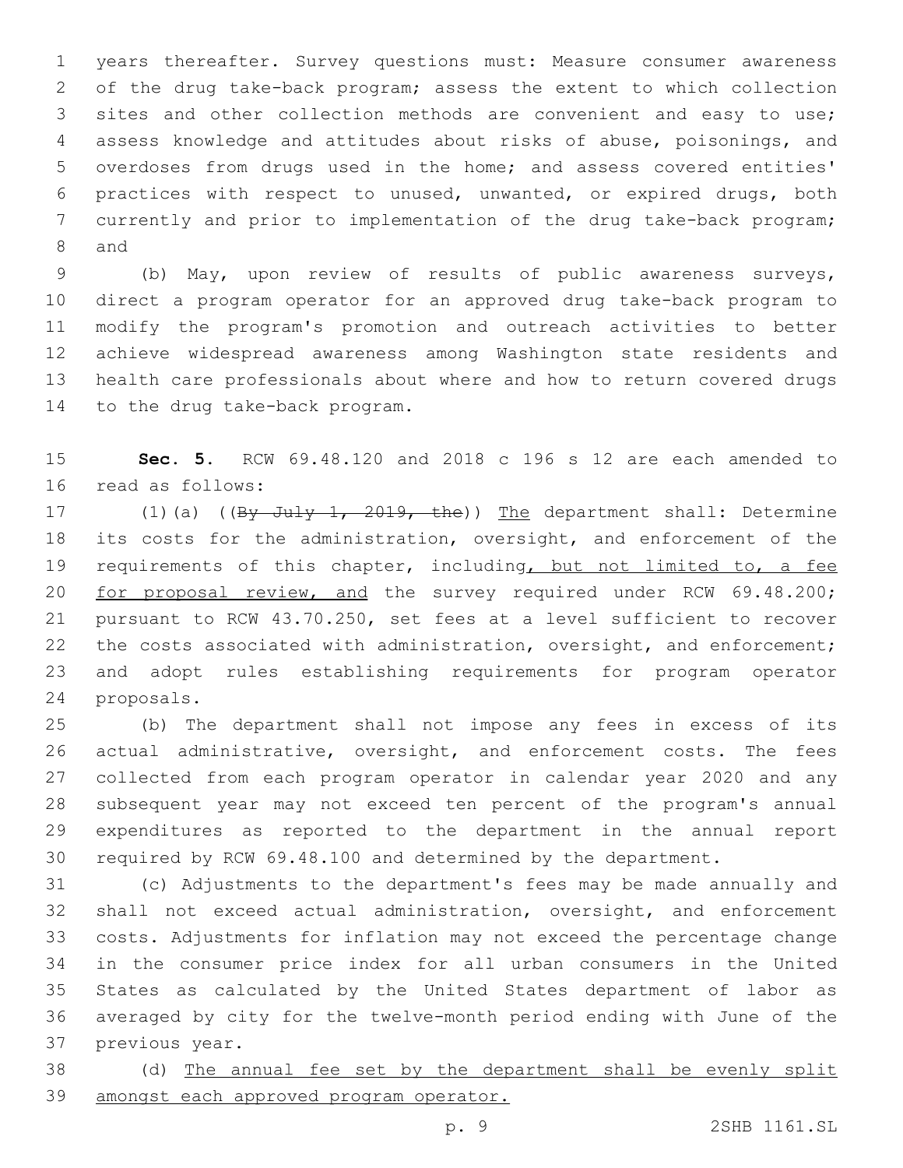years thereafter. Survey questions must: Measure consumer awareness of the drug take-back program; assess the extent to which collection sites and other collection methods are convenient and easy to use; assess knowledge and attitudes about risks of abuse, poisonings, and overdoses from drugs used in the home; and assess covered entities' practices with respect to unused, unwanted, or expired drugs, both currently and prior to implementation of the drug take-back program; 8 and

 (b) May, upon review of results of public awareness surveys, direct a program operator for an approved drug take-back program to modify the program's promotion and outreach activities to better achieve widespread awareness among Washington state residents and health care professionals about where and how to return covered drugs 14 to the drug take-back program.

 **Sec. 5.** RCW 69.48.120 and 2018 c 196 s 12 are each amended to 16 read as follows:

17 (1)(a) ((By July 1, 2019, the)) The department shall: Determine its costs for the administration, oversight, and enforcement of the 19 requirements of this chapter, including, but not limited to, a fee 20 for proposal review, and the survey required under RCW 69.48.200; pursuant to RCW 43.70.250, set fees at a level sufficient to recover 22 the costs associated with administration, oversight, and enforcement; and adopt rules establishing requirements for program operator 24 proposals.

 (b) The department shall not impose any fees in excess of its actual administrative, oversight, and enforcement costs. The fees collected from each program operator in calendar year 2020 and any subsequent year may not exceed ten percent of the program's annual expenditures as reported to the department in the annual report required by RCW 69.48.100 and determined by the department.

 (c) Adjustments to the department's fees may be made annually and shall not exceed actual administration, oversight, and enforcement costs. Adjustments for inflation may not exceed the percentage change in the consumer price index for all urban consumers in the United States as calculated by the United States department of labor as averaged by city for the twelve-month period ending with June of the 37 previous year.

 (d) The annual fee set by the department shall be evenly split amongst each approved program operator.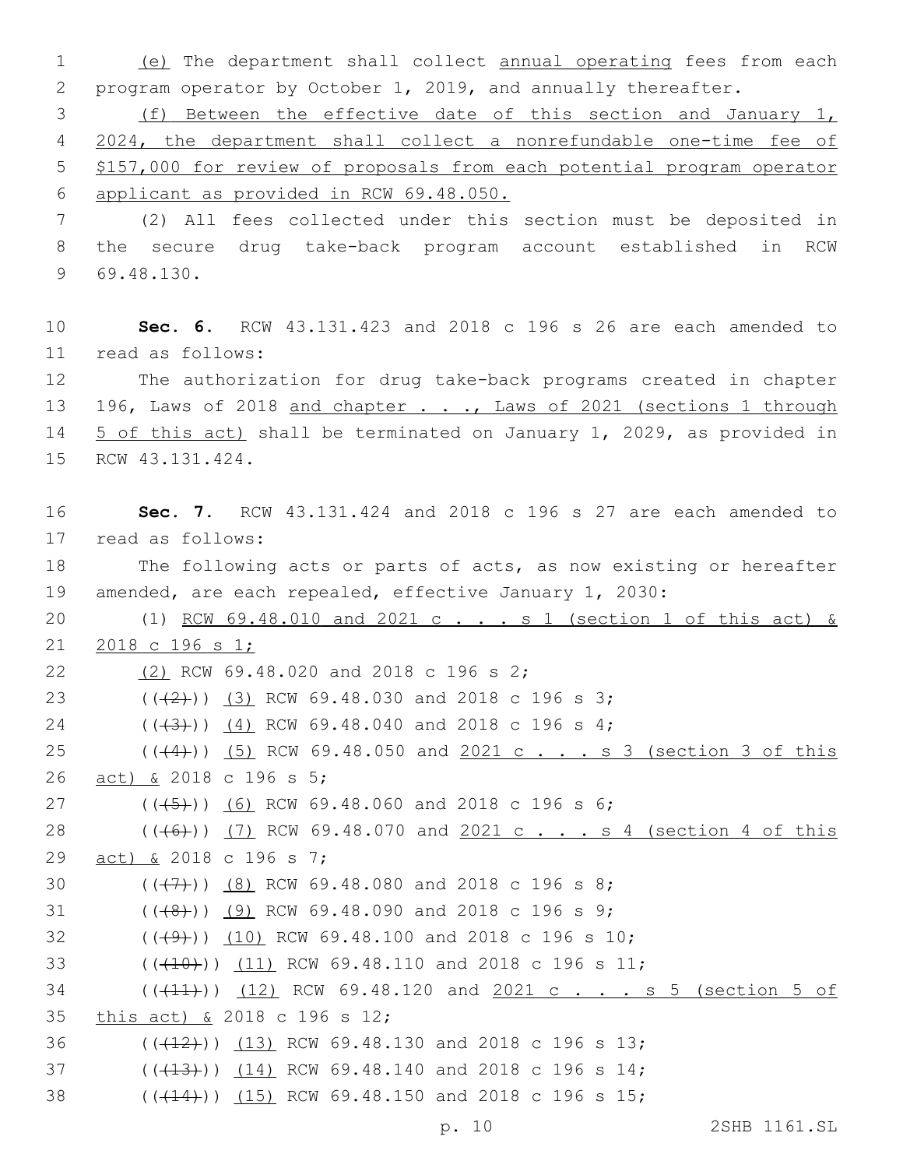1 (e) The department shall collect annual operating fees from each 2 program operator by October 1, 2019, and annually thereafter.

 (f) Between the effective date of this section and January 1, 2024, the department shall collect a nonrefundable one-time fee of \$157,000 for review of proposals from each potential program operator applicant as provided in RCW 69.48.050.

7 (2) All fees collected under this section must be deposited in 8 the secure drug take-back program account established in RCW 69.48.130.9

10 **Sec. 6.** RCW 43.131.423 and 2018 c 196 s 26 are each amended to read as follows:11

12 The authorization for drug take-back programs created in chapter 13 196, Laws of 2018 and chapter . . ., Laws of 2021 (sections 1 through 14 5 of this act) shall be terminated on January 1, 2029, as provided in 15 RCW 43.131.424.

16 **Sec. 7.** RCW 43.131.424 and 2018 c 196 s 27 are each amended to 17 read as follows: 18 The following acts or parts of acts, as now existing or hereafter 19 amended, are each repealed, effective January 1, 2030: 20 (1) RCW 69.48.010 and 2021 c . . . s 1 (section 1 of this act) & 21 2018 c 196 s 1; 22 (2) RCW 69.48.020 and 2018 c 196 s 2; 23  $((+2)^{2})$   $(3)$  RCW 69.48.030 and 2018 c 196 s 3; 24 ((+3)) (4) RCW 69.48.040 and 2018 c 196 s 4; 25 (((4))) (5) RCW 69.48.050 and 2021 c . . . s 3 (section 3 of this 26 act) & 2018 c 196 s 5; 27 ( $(\frac{45}{9})$ ) (6) RCW 69.48.060 and 2018 c 196 s 6; 28 (((6)) (7) RCW 69.48.070 and 2021 c . . . s 4 (section 4 of this 29 act) & 2018 c 196 s 7; 30  $((+7+))$   $(8)$  RCW 69.48.080 and 2018 c 196 s 8;  $($  (((48))) (9) RCW 69.48.090 and 2018 c 196 s 9; 32 (((49))) (10) RCW 69.48.100 and 2018 c 196 s 10; 33 ((<del>(10)</del>)) (11) RCW 69.48.110 and 2018 c 196 s 11; 34 (((41))) (12) RCW 69.48.120 and 2021 c . . . s 5 (section 5 of 35 this act) & 2018 c 196 s 12; 36 (( $(12)$ )) (13) RCW 69.48.130 and 2018 c 196 s 13; 37 (( $(13)$ )) (14) RCW 69.48.140 and 2018 c 196 s 14; 38 (( $(44)$ )) (15) RCW 69.48.150 and 2018 c 196 s 15;